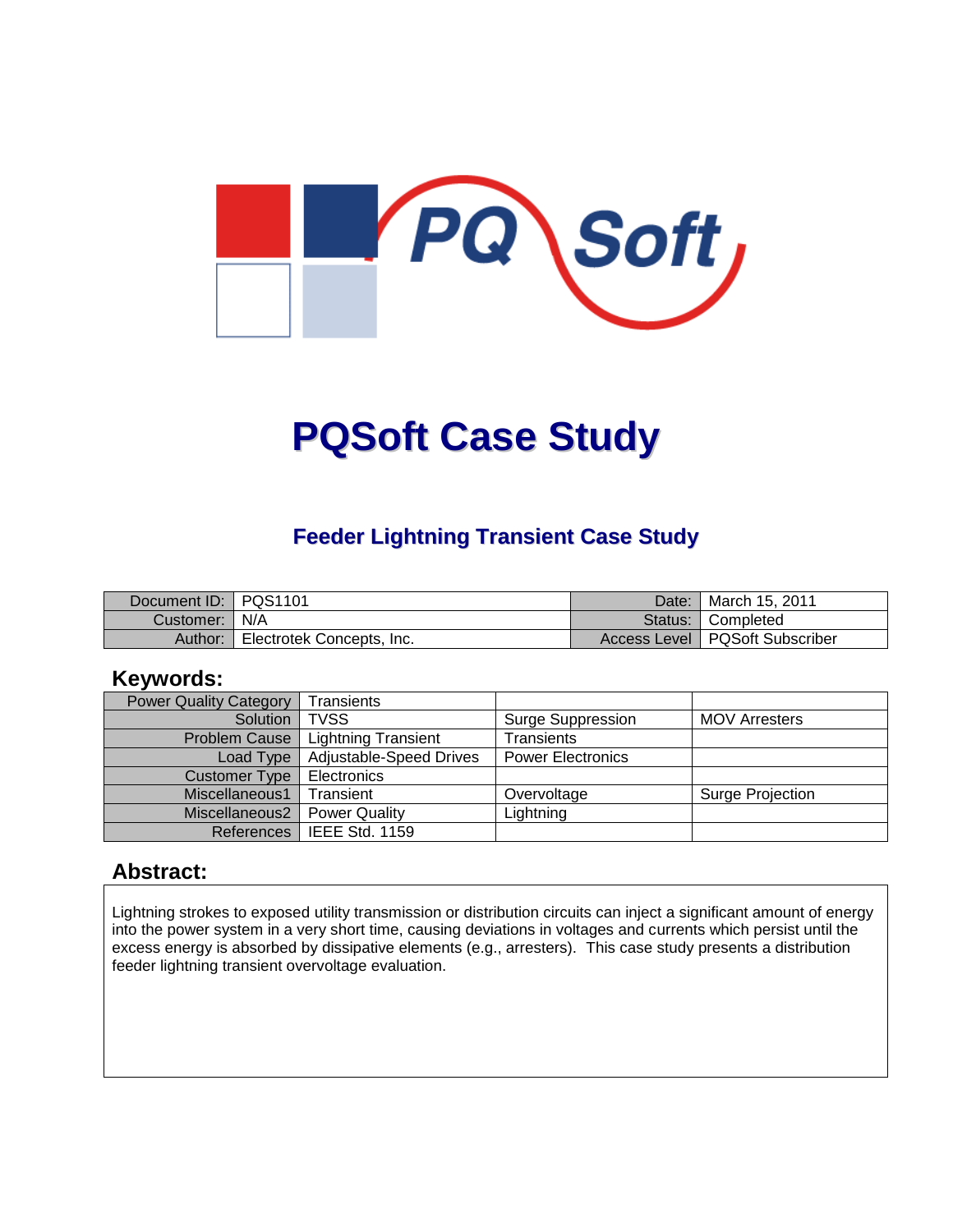

# **PQSoft Case Study**

#### **Feeder Lightning Transient Case Study**

| Document ID: PQS1101 |                           | Date: | ¶ March 15. 2011                 |
|----------------------|---------------------------|-------|----------------------------------|
| Customer:   N/A      |                           |       | Status: Completed                |
| Author:              | Electrotek Concepts, Inc. |       | Access Level   PQSoft Subscriber |

#### **Keywords:**

| <b>Power Quality Category</b> | <b>Transients</b>          |                          |                      |
|-------------------------------|----------------------------|--------------------------|----------------------|
| Solution                      | <b>TVSS</b>                | Surge Suppression        | <b>MOV Arresters</b> |
| <b>Problem Cause</b>          | <b>Lightning Transient</b> | Transients               |                      |
| Load Type                     | Adjustable-Speed Drives    | <b>Power Electronics</b> |                      |
| <b>Customer Type</b>          | Electronics                |                          |                      |
| Miscellaneous1                | Transient                  | Overvoltage              | Surge Projection     |
| Miscellaneous2                | <b>Power Quality</b>       | Lightning                |                      |
| References                    | IEEE Std. 1159             |                          |                      |

#### **Abstract:**

Lightning strokes to exposed utility transmission or distribution circuits can inject a significant amount of energy into the power system in a very short time, causing deviations in voltages and currents which persist until the excess energy is absorbed by dissipative elements (e.g., arresters). This case study presents a distribution feeder lightning transient overvoltage evaluation.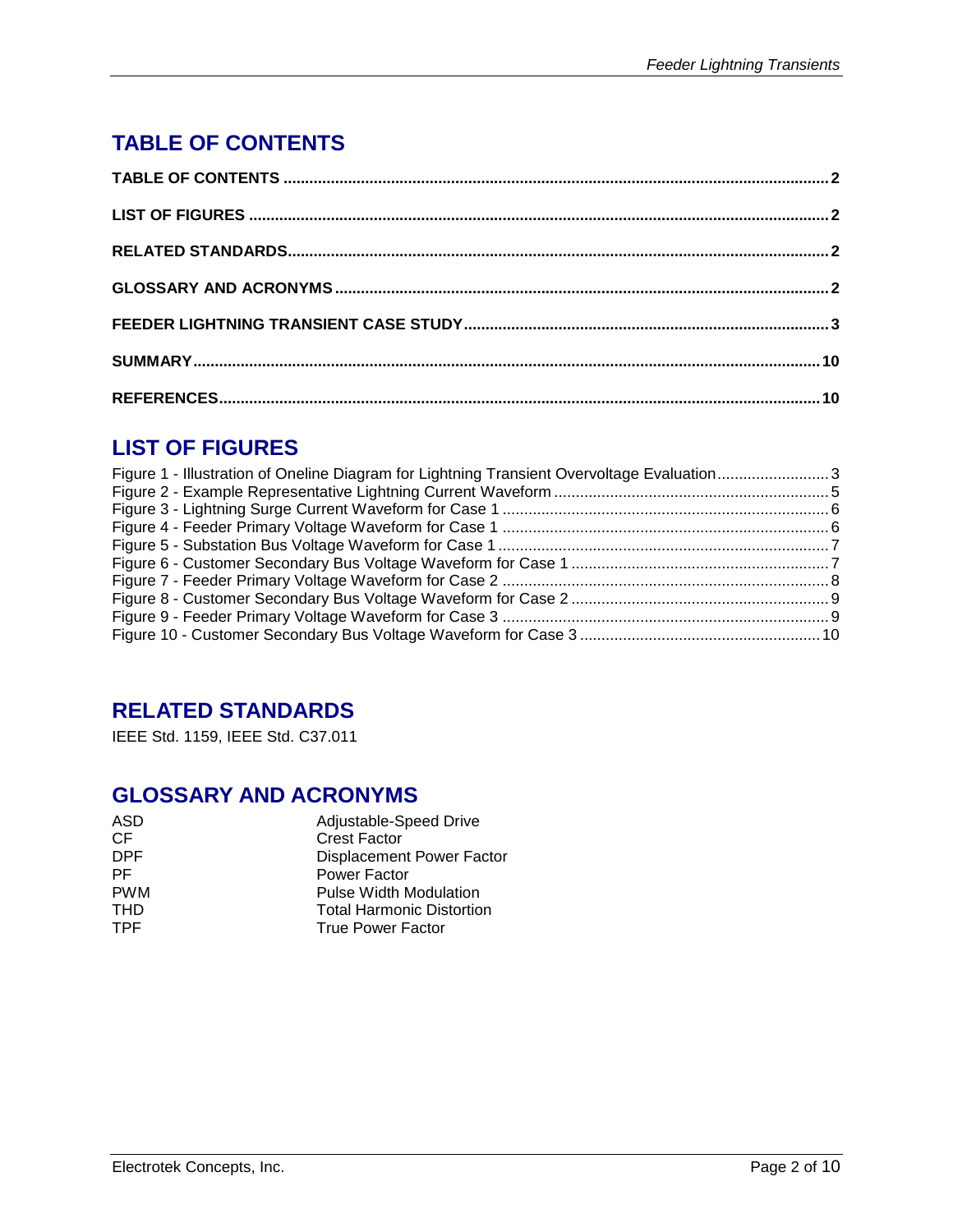# **TABLE OF CONTENTS**

# **LIST OF FIGURES**

| Figure 1 - Illustration of Oneline Diagram for Lightning Transient Overvoltage Evaluation3 |  |
|--------------------------------------------------------------------------------------------|--|
|                                                                                            |  |
|                                                                                            |  |
|                                                                                            |  |
|                                                                                            |  |
|                                                                                            |  |
|                                                                                            |  |
|                                                                                            |  |
|                                                                                            |  |
|                                                                                            |  |

### **RELATED STANDARDS**

IEEE Std. 1159, IEEE Std. C37.011

## **GLOSSARY AND ACRONYMS**

| Adjustable-Speed Drive           |
|----------------------------------|
| <b>Crest Factor</b>              |
| <b>Displacement Power Factor</b> |
| Power Factor                     |
| <b>Pulse Width Modulation</b>    |
| <b>Total Harmonic Distortion</b> |
| <b>True Power Factor</b>         |
|                                  |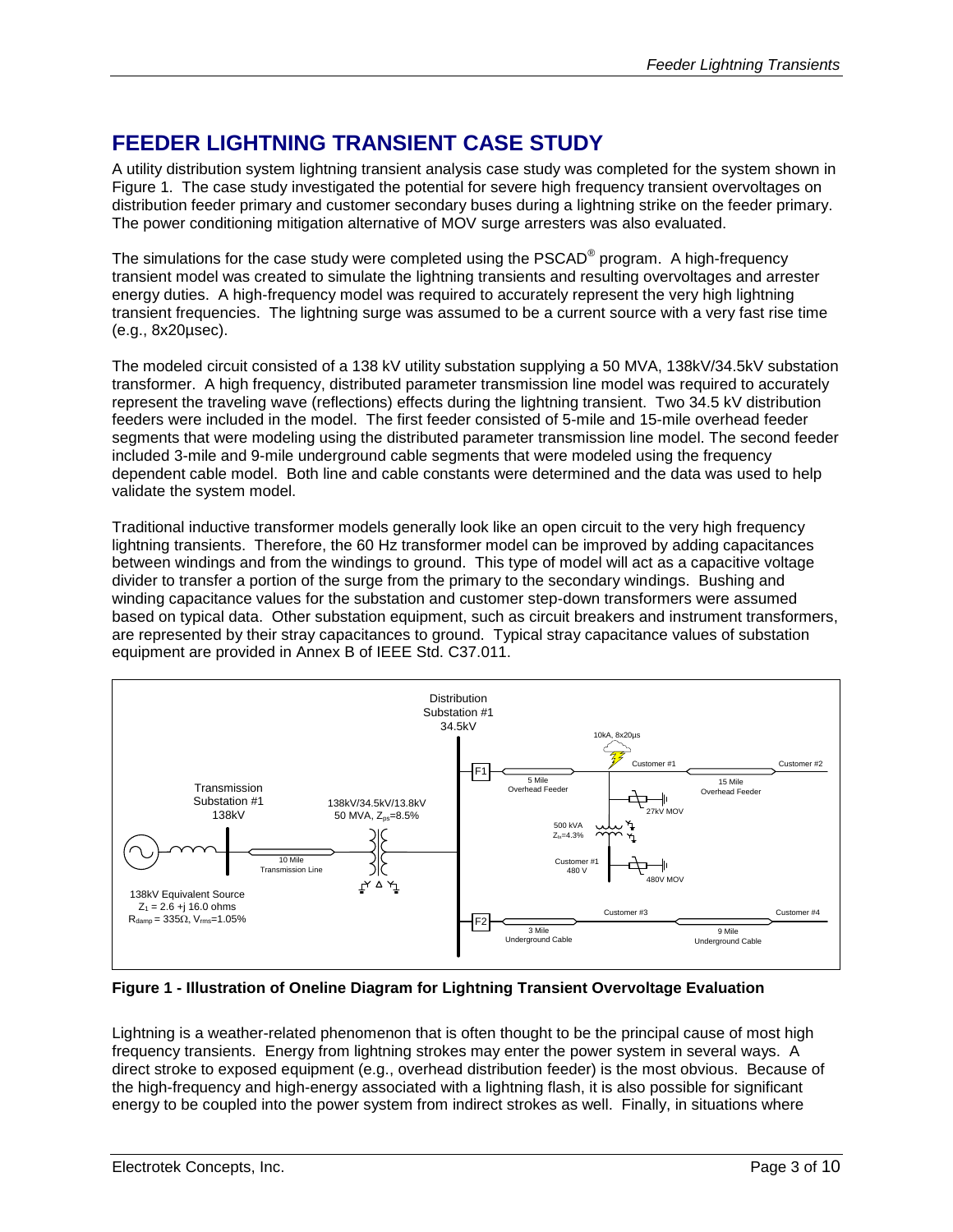#### **FEEDER LIGHTNING TRANSIENT CASE STUDY**

A utility distribution system lightning transient analysis case study was completed for the system shown in [Figure 1.](#page-2-0) The case study investigated the potential for severe high frequency transient overvoltages on distribution feeder primary and customer secondary buses during a lightning strike on the feeder primary. The power conditioning mitigation alternative of MOV surge arresters was also evaluated.

The simulations for the case study were completed using the PSCAD® program. A high-frequency transient model was created to simulate the lightning transients and resulting overvoltages and arrester energy duties. A high-frequency model was required to accurately represent the very high lightning transient frequencies. The lightning surge was assumed to be a current source with a very fast rise time (e.g., 8x20µsec).

The modeled circuit consisted of a 138 kV utility substation supplying a 50 MVA, 138kV/34.5kV substation transformer. A high frequency, distributed parameter transmission line model was required to accurately represent the traveling wave (reflections) effects during the lightning transient. Two 34.5 kV distribution feeders were included in the model. The first feeder consisted of 5-mile and 15-mile overhead feeder segments that were modeling using the distributed parameter transmission line model. The second feeder included 3-mile and 9-mile underground cable segments that were modeled using the frequency dependent cable model. Both line and cable constants were determined and the data was used to help validate the system model.

Traditional inductive transformer models generally look like an open circuit to the very high frequency lightning transients. Therefore, the 60 Hz transformer model can be improved by adding capacitances between windings and from the windings to ground. This type of model will act as a capacitive voltage divider to transfer a portion of the surge from the primary to the secondary windings. Bushing and winding capacitance values for the substation and customer step-down transformers were assumed based on typical data. Other substation equipment, such as circuit breakers and instrument transformers, are represented by their stray capacitances to ground. Typical stray capacitance values of substation equipment are provided in Annex B of IEEE Std. C37.011.



<span id="page-2-0"></span>**Figure 1 - Illustration of Oneline Diagram for Lightning Transient Overvoltage Evaluation**

Lightning is a weather-related phenomenon that is often thought to be the principal cause of most high frequency transients. Energy from lightning strokes may enter the power system in several ways. A direct stroke to exposed equipment (e.g., overhead distribution feeder) is the most obvious. Because of the high-frequency and high-energy associated with a lightning flash, it is also possible for significant energy to be coupled into the power system from indirect strokes as well. Finally, in situations where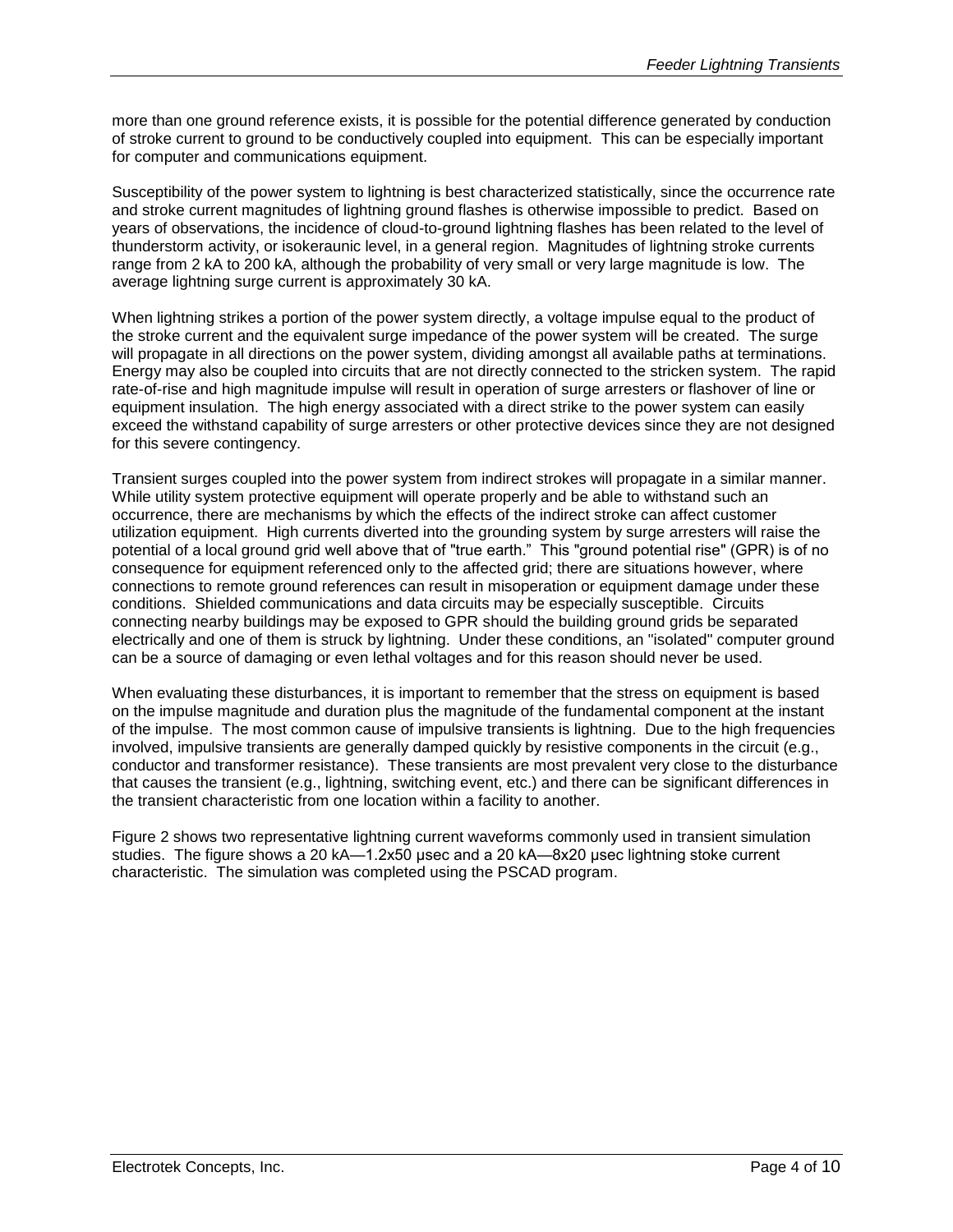more than one ground reference exists, it is possible for the potential difference generated by conduction of stroke current to ground to be conductively coupled into equipment. This can be especially important for computer and communications equipment.

Susceptibility of the power system to lightning is best characterized statistically, since the occurrence rate and stroke current magnitudes of lightning ground flashes is otherwise impossible to predict. Based on years of observations, the incidence of cloud-to-ground lightning flashes has been related to the level of thunderstorm activity, or isokeraunic level, in a general region. Magnitudes of lightning stroke currents range from 2 kA to 200 kA, although the probability of very small or very large magnitude is low. The average lightning surge current is approximately 30 kA.

When lightning strikes a portion of the power system directly, a voltage impulse equal to the product of the stroke current and the equivalent surge impedance of the power system will be created. The surge will propagate in all directions on the power system, dividing amongst all available paths at terminations. Energy may also be coupled into circuits that are not directly connected to the stricken system. The rapid rate-of-rise and high magnitude impulse will result in operation of surge arresters or flashover of line or equipment insulation. The high energy associated with a direct strike to the power system can easily exceed the withstand capability of surge arresters or other protective devices since they are not designed for this severe contingency.

Transient surges coupled into the power system from indirect strokes will propagate in a similar manner. While utility system protective equipment will operate properly and be able to withstand such an occurrence, there are mechanisms by which the effects of the indirect stroke can affect customer utilization equipment. High currents diverted into the grounding system by surge arresters will raise the potential of a local ground grid well above that of "true earth." This "ground potential rise" (GPR) is of no consequence for equipment referenced only to the affected grid; there are situations however, where connections to remote ground references can result in misoperation or equipment damage under these conditions. Shielded communications and data circuits may be especially susceptible. Circuits connecting nearby buildings may be exposed to GPR should the building ground grids be separated electrically and one of them is struck by lightning. Under these conditions, an "isolated" computer ground can be a source of damaging or even lethal voltages and for this reason should never be used.

When evaluating these disturbances, it is important to remember that the stress on equipment is based on the impulse magnitude and duration plus the magnitude of the fundamental component at the instant of the impulse. The most common cause of impulsive transients is lightning. Due to the high frequencies involved, impulsive transients are generally damped quickly by resistive components in the circuit (e.g., conductor and transformer resistance). These transients are most prevalent very close to the disturbance that causes the transient (e.g., lightning, switching event, etc.) and there can be significant differences in the transient characteristic from one location within a facility to another.

[Figure 2](#page-4-0) shows two representative lightning current waveforms commonly used in transient simulation studies. The figure shows a 20 kA—1.2x50 μsec and a 20 kA—8x20 μsec lightning stoke current characteristic. The simulation was completed using the PSCAD program.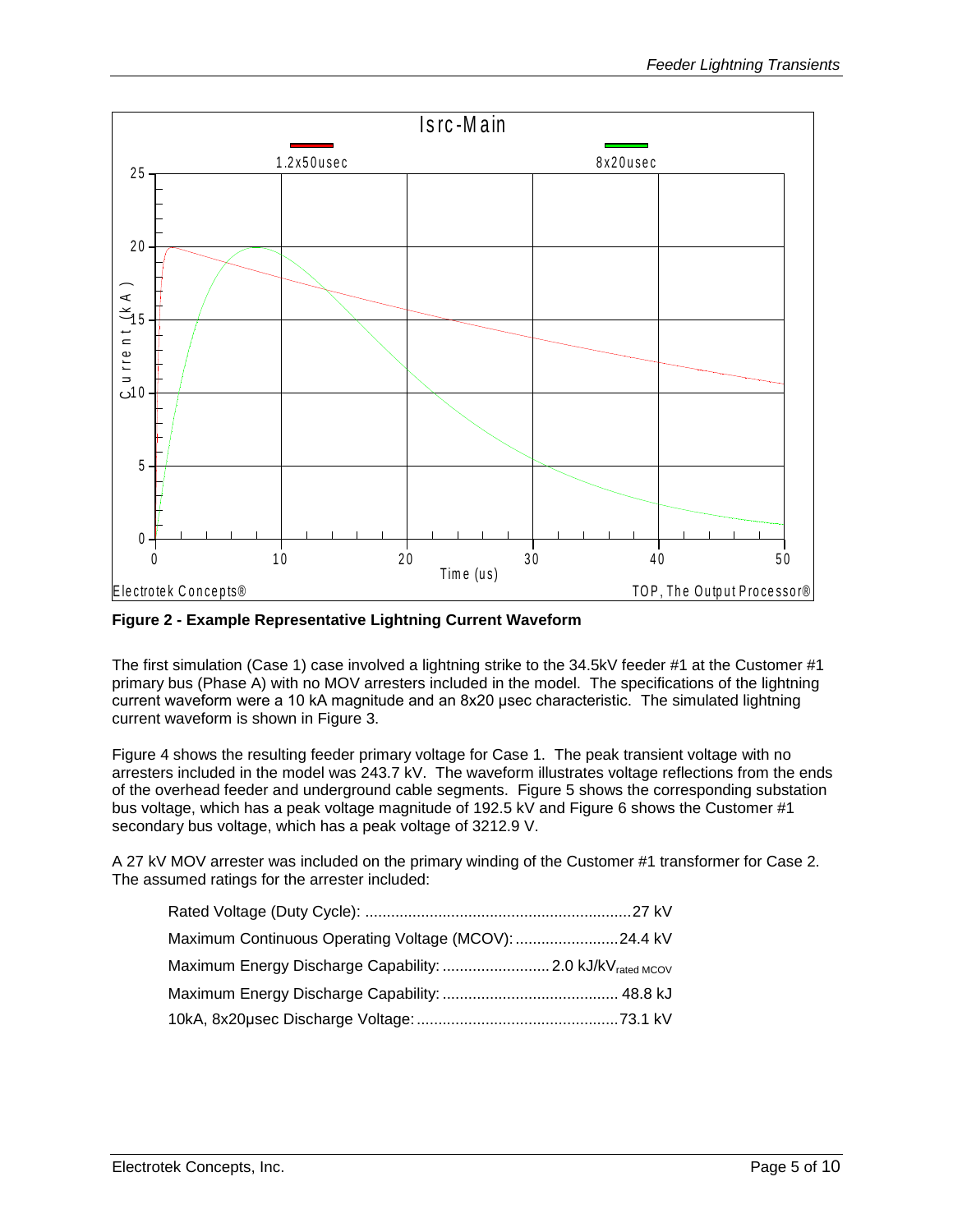

<span id="page-4-0"></span>**Figure 2 - Example Representative Lightning Current Waveform**

The first simulation (Case 1) case involved a lightning strike to the 34.5kV feeder #1 at the Customer #1 primary bus (Phase A) with no MOV arresters included in the model. The specifications of the lightning current waveform were a 10 kA magnitude and an 8x20 μsec characteristic. The simulated lightning current waveform is shown in [Figure](#page-5-0) 3.

[Figure 4](#page-5-1) shows the resulting feeder primary voltage for Case 1. The peak transient voltage with no arresters included in the model was 243.7 kV. The waveform illustrates voltage reflections from the ends of the overhead feeder and underground cable segments. [Figure 5](#page-6-0) shows the corresponding substation bus voltage, which has a peak voltage magnitude of 192.5 kV and [Figure 6](#page-6-1) shows the Customer #1 secondary bus voltage, which has a peak voltage of 3212.9 V.

A 27 kV MOV arrester was included on the primary winding of the Customer #1 transformer for Case 2. The assumed ratings for the arrester included:

| Maximum Continuous Operating Voltage (MCOV): 24.4 kV |  |
|------------------------------------------------------|--|
|                                                      |  |
|                                                      |  |
|                                                      |  |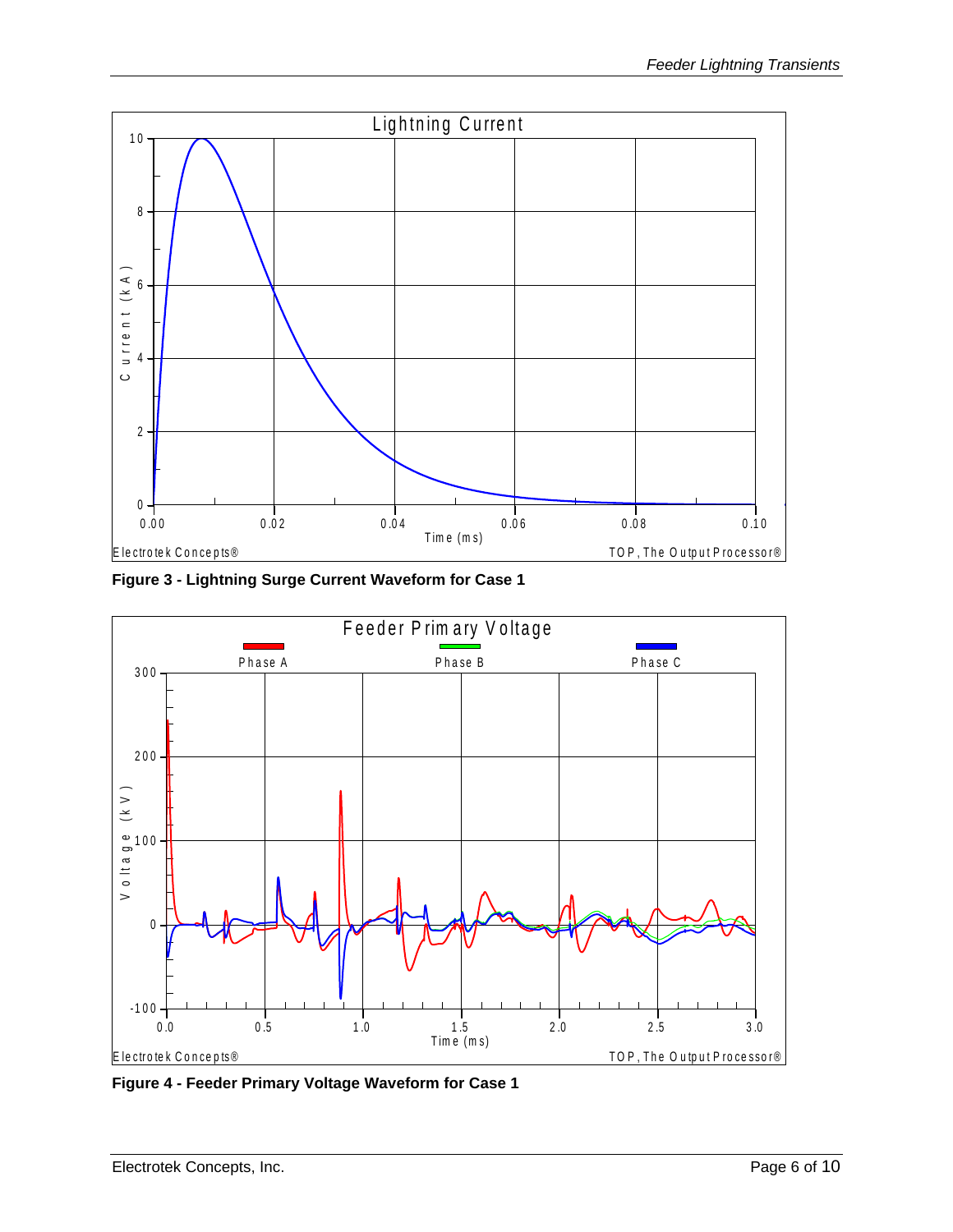

<span id="page-5-0"></span>**Figure 3 - Lightning Surge Current Waveform for Case 1**



<span id="page-5-1"></span>**Figure 4 - Feeder Primary Voltage Waveform for Case 1**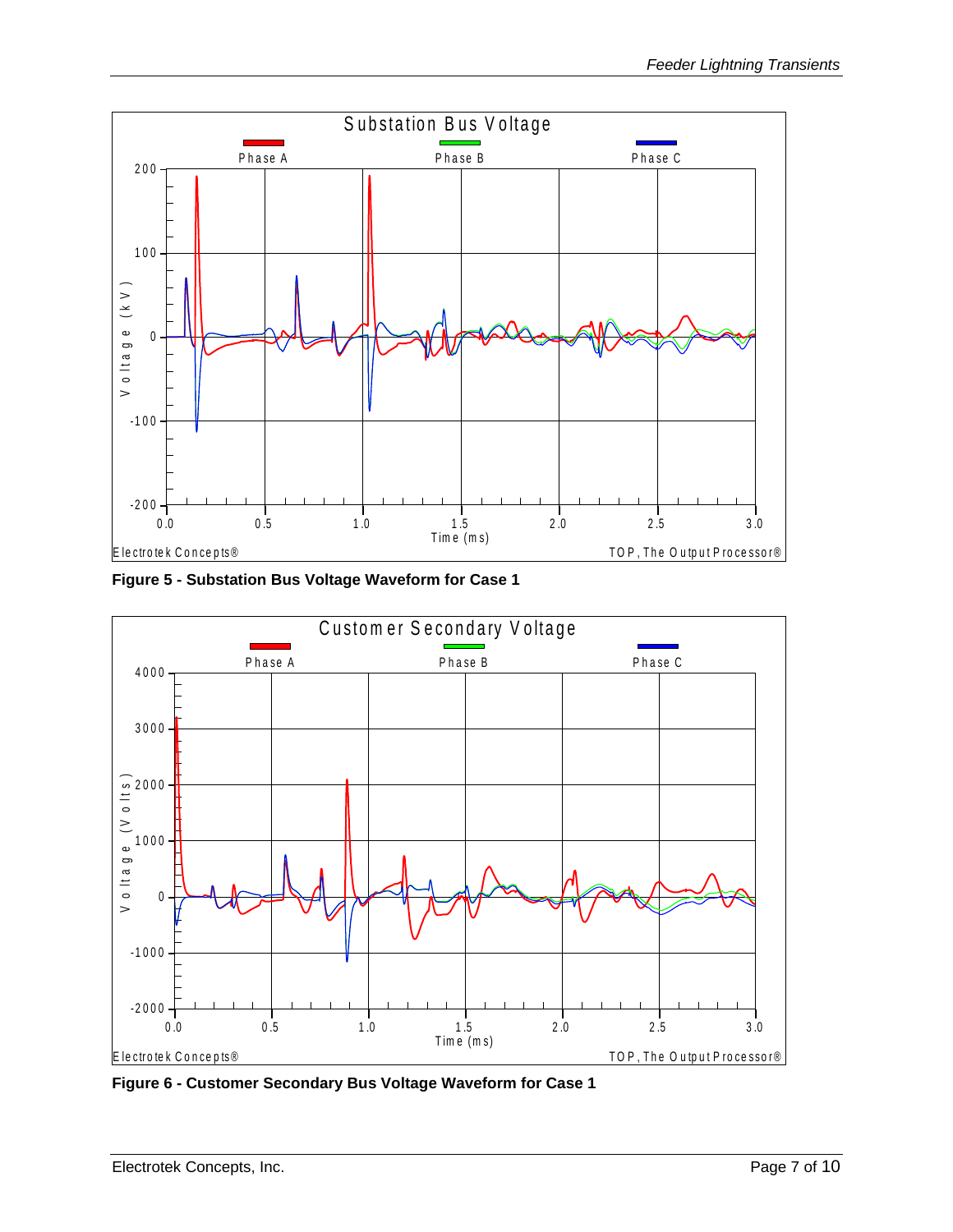

<span id="page-6-0"></span>**Figure 5 - Substation Bus Voltage Waveform for Case 1**



<span id="page-6-1"></span>**Figure 6 - Customer Secondary Bus Voltage Waveform for Case 1**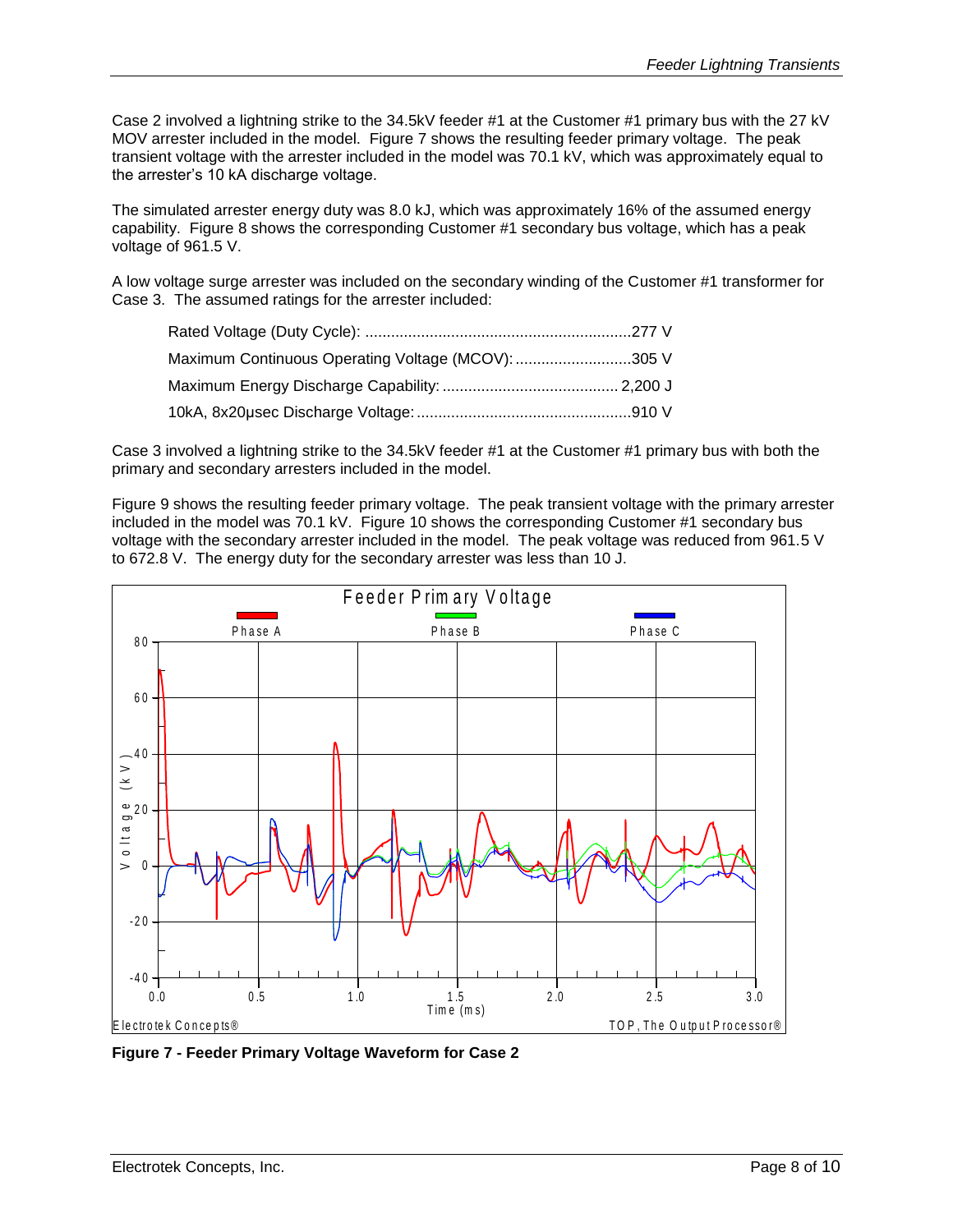Case 2 involved a lightning strike to the 34.5kV feeder #1 at the Customer #1 primary bus with the 27 kV MOV arrester included in the model. [Figure 7](#page-7-0) shows the resulting feeder primary voltage. The peak transient voltage with the arrester included in the model was 70.1 kV, which was approximately equal to the arrester's 10 kA discharge voltage.

The simulated arrester energy duty was 8.0 kJ, which was approximately 16% of the assumed energy capability. [Figure 8](#page-8-0) shows the corresponding Customer #1 secondary bus voltage, which has a peak voltage of 961.5 V.

A low voltage surge arrester was included on the secondary winding of the Customer #1 transformer for Case 3. The assumed ratings for the arrester included:

| Maximum Continuous Operating Voltage (MCOV): 305 V |  |
|----------------------------------------------------|--|
|                                                    |  |
|                                                    |  |

Case 3 involved a lightning strike to the 34.5kV feeder #1 at the Customer #1 primary bus with both the primary and secondary arresters included in the model.

[Figure 9](#page-8-1) shows the resulting feeder primary voltage. The peak transient voltage with the primary arrester included in the model was 70.1 kV. Figure 10 shows the corresponding Customer #1 secondary bus voltage with the secondary arrester included in the model. The peak voltage was reduced from 961.5 V to 672.8 V. The energy duty for the secondary arrester was less than 10 J. Fprimary voltage. The peak to<br>
I Figure 10 shows the corresp<br>
F e secondary arrester was less<br>
F e e der P rim ary V oltage



<span id="page-7-0"></span>**Figure 7 - Feeder Primary Voltage Waveform for Case 2**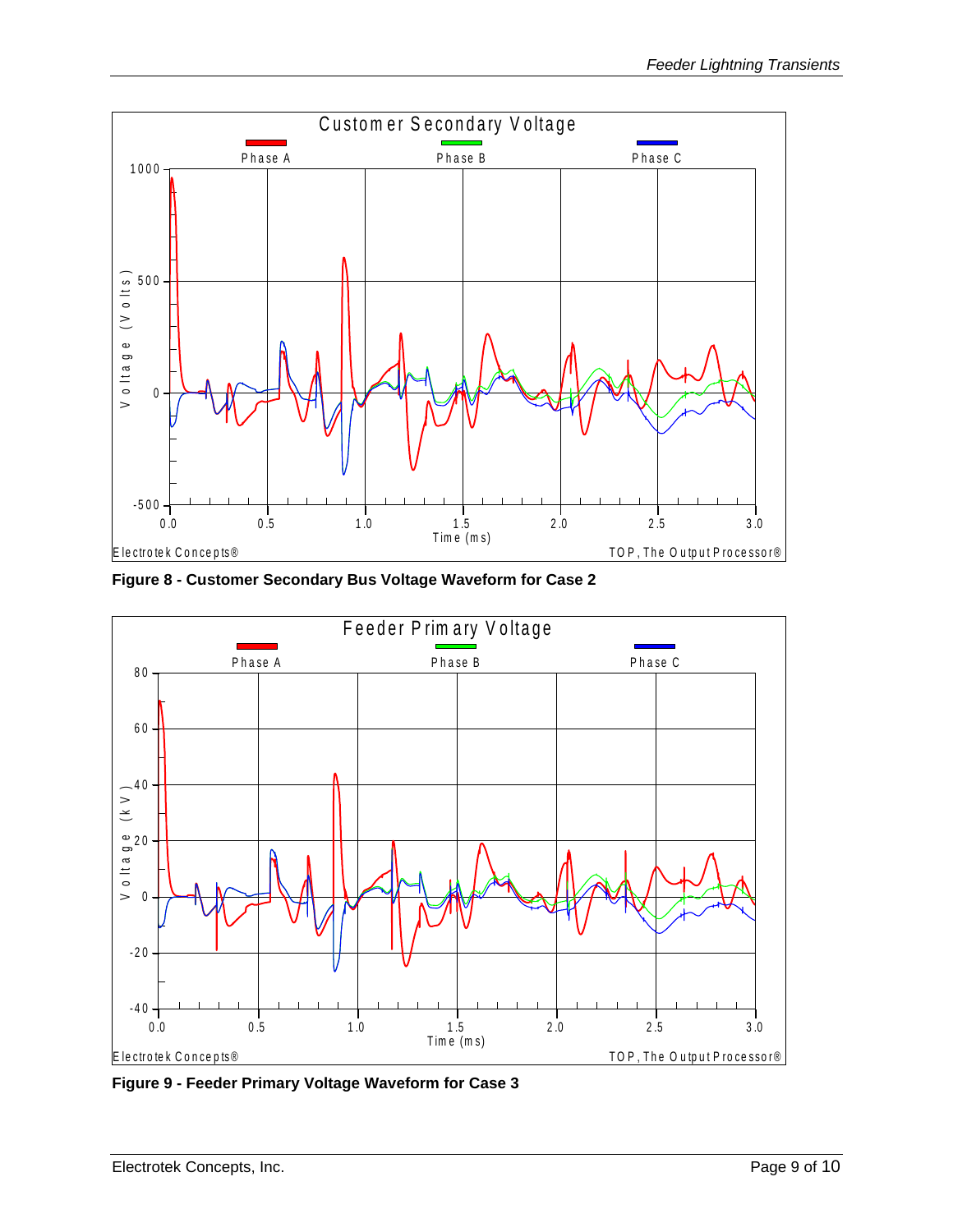

<span id="page-8-0"></span>**Figure 8 - Customer Secondary Bus Voltage Waveform for Case 2**



<span id="page-8-1"></span>**Figure 9 - Feeder Primary Voltage Waveform for Case 3**